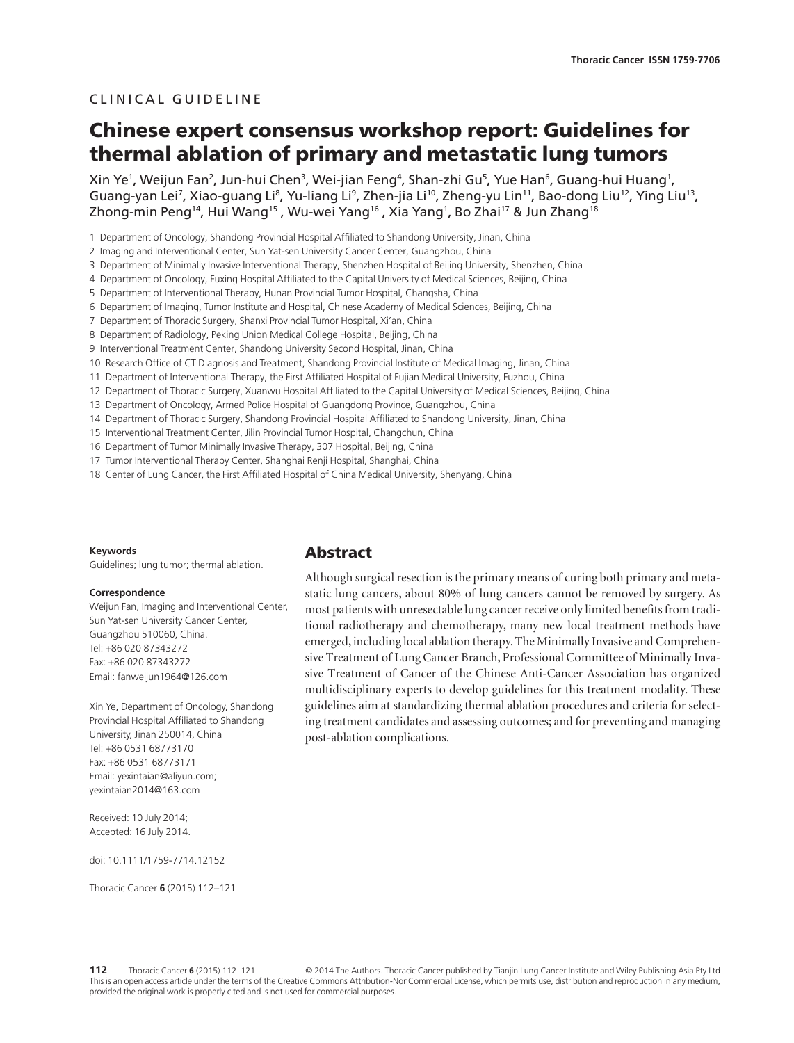# CLINICAL GUIDELINE

# **Chinese expert consensus workshop report: Guidelines for thermal ablation of primary and metastatic lung tumors**

Xin Ye<sup>1</sup>, Weijun Fan<sup>2</sup>, Jun-hui Chen<sup>3</sup>, Wei-jian Feng<sup>4</sup>, Shan-zhi Gu<sup>5</sup>, Yue Han<sup>6</sup>, Guang-hui Huang<sup>1</sup>, Guang-yan Lei<sup>7</sup>, Xiao-guang Li<sup>8</sup>, Yu-liang Li<sup>9</sup>, Zhen-jia Li<sup>10</sup>, Zheng-yu Lin<sup>11</sup>, Bao-dong Liu<sup>12</sup>, Ying Liu<sup>13</sup>, Zhong-min Peng<sup>14</sup>, Hui Wang<sup>15</sup> , Wu-wei Yang<sup>16</sup> , Xia Yang<sup>1</sup>, Bo Zhai<sup>17</sup> & Jun Zhang<sup>18</sup>

- 3 Department of Minimally Invasive Interventional Therapy, Shenzhen Hospital of Beijing University, Shenzhen, China
- 4 Department of Oncology, Fuxing Hospital Affiliated to the Capital University of Medical Sciences, Beijing, China
- 5 Department of Interventional Therapy, Hunan Provincial Tumor Hospital, Changsha, China
- 6 Department of Imaging, Tumor Institute and Hospital, Chinese Academy of Medical Sciences, Beijing, China
- 7 Department of Thoracic Surgery, Shanxi Provincial Tumor Hospital, Xi'an, China
- 8 Department of Radiology, Peking Union Medical College Hospital, Beijing, China
- 9 Interventional Treatment Center, Shandong University Second Hospital, Jinan, China
- 10 Research Office of CT Diagnosis and Treatment, Shandong Provincial Institute of Medical Imaging, Jinan, China
- 11 Department of Interventional Therapy, the First Affiliated Hospital of Fujian Medical University, Fuzhou, China
- 12 Department of Thoracic Surgery, Xuanwu Hospital Affiliated to the Capital University of Medical Sciences, Beijing, China
- 13 Department of Oncology, Armed Police Hospital of Guangdong Province, Guangzhou, China
- 14 Department of Thoracic Surgery, Shandong Provincial Hospital Affiliated to Shandong University, Jinan, China
- 15 Interventional Treatment Center, Jilin Provincial Tumor Hospital, Changchun, China
- 16 Department of Tumor Minimally Invasive Therapy, 307 Hospital, Beijing, China
- 17 Tumor Interventional Therapy Center, Shanghai Renji Hospital, Shanghai, China
- 18 Center of Lung Cancer, the First Affiliated Hospital of China Medical University, Shenyang, China

#### **Keywords**

Guidelines; lung tumor; thermal ablation.

#### **Correspondence**

Weijun Fan, Imaging and Interventional Center, Sun Yat-sen University Cancer Center, Guangzhou 510060, China. Tel: +86 020 87343272 Fax: +86 020 87343272 Email: fanweijun1964@126.com

Xin Ye, Department of Oncology, Shandong Provincial Hospital Affiliated to Shandong University, Jinan 250014, China Tel: +86 0531 68773170 Fax: +86 0531 68773171 Email: yexintaian@aliyun.com; yexintaian2014@163.com

Received: 10 July 2014; Accepted: 16 July 2014.

doi: 10.1111/1759-7714.12152

Thoracic Cancer **6** (2015) 112–121

# **Abstract**

Although surgical resection is the primary means of curing both primary and metastatic lung cancers, about 80% of lung cancers cannot be removed by surgery. As most patients with unresectable lung cancer receive only limited benefits from traditional radiotherapy and chemotherapy, many new local treatment methods have emerged, including local ablation therapy. The Minimally Invasive and Comprehensive Treatment of Lung Cancer Branch, Professional Committee of Minimally Invasive Treatment of Cancer of the Chinese Anti-Cancer Association has organized multidisciplinary experts to develop guidelines for this treatment modality. These guidelines aim at standardizing thermal ablation procedures and criteria for selecting treatment candidates and assessing outcomes; and for preventing and managing post-ablation complications.

<sup>1</sup> Department of Oncology, Shandong Provincial Hospital Affiliated to Shandong University, Jinan, China

<sup>2</sup> Imaging and Interventional Center, Sun Yat-sen University Cancer Center, Guangzhou, China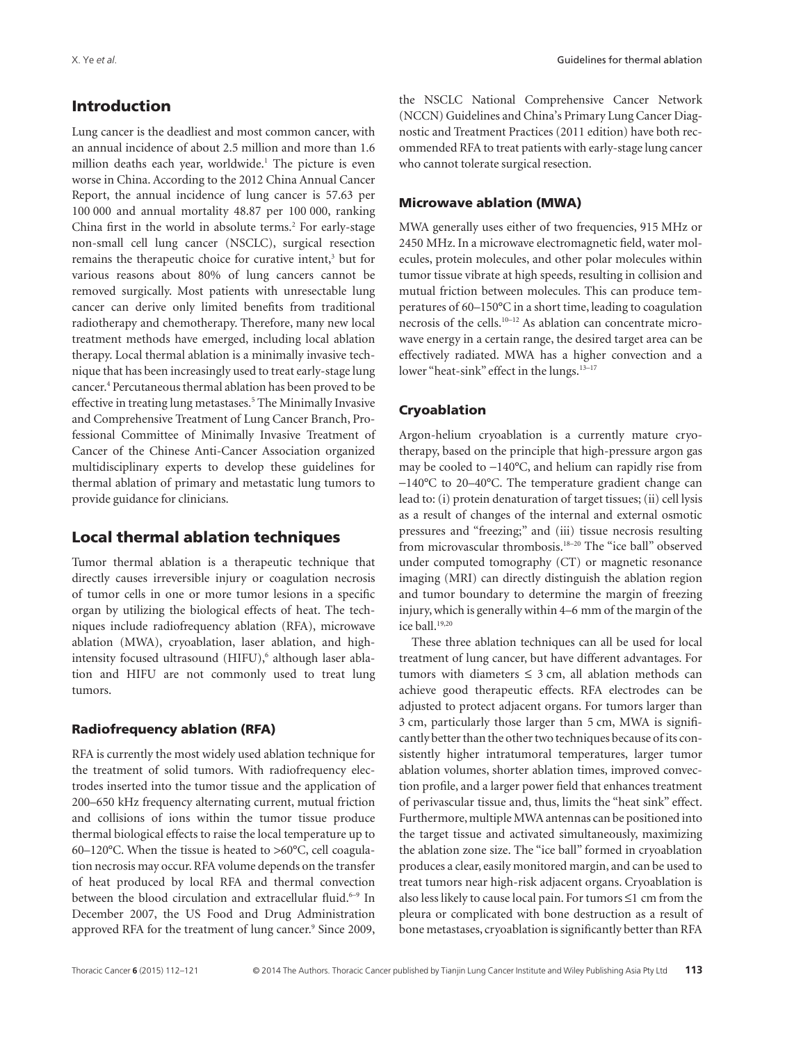# **Introduction**

Lung cancer is the deadliest and most common cancer, with an annual incidence of about 2.5 million and more than 1.6 million deaths each year, worldwide.<sup>1</sup> The picture is even worse in China. According to the 2012 China Annual Cancer Report, the annual incidence of lung cancer is 57.63 per 100 000 and annual mortality 48.87 per 100 000, ranking China first in the world in absolute terms.<sup>2</sup> For early-stage non-small cell lung cancer (NSCLC), surgical resection remains the therapeutic choice for curative intent,<sup>3</sup> but for various reasons about 80% of lung cancers cannot be removed surgically. Most patients with unresectable lung cancer can derive only limited benefits from traditional radiotherapy and chemotherapy. Therefore, many new local treatment methods have emerged, including local ablation therapy. Local thermal ablation is a minimally invasive technique that has been increasingly used to treat early-stage lung cancer.4 Percutaneous thermal ablation has been proved to be effective in treating lung metastases.<sup>5</sup> The Minimally Invasive and Comprehensive Treatment of Lung Cancer Branch, Professional Committee of Minimally Invasive Treatment of Cancer of the Chinese Anti-Cancer Association organized multidisciplinary experts to develop these guidelines for thermal ablation of primary and metastatic lung tumors to provide guidance for clinicians.

# **Local thermal ablation techniques**

Tumor thermal ablation is a therapeutic technique that directly causes irreversible injury or coagulation necrosis of tumor cells in one or more tumor lesions in a specific organ by utilizing the biological effects of heat. The techniques include radiofrequency ablation (RFA), microwave ablation (MWA), cryoablation, laser ablation, and highintensity focused ultrasound (HIFU),<sup>6</sup> although laser ablation and HIFU are not commonly used to treat lung tumors.

#### **Radiofrequency ablation (RFA)**

RFA is currently the most widely used ablation technique for the treatment of solid tumors. With radiofrequency electrodes inserted into the tumor tissue and the application of 200–650 kHz frequency alternating current, mutual friction and collisions of ions within the tumor tissue produce thermal biological effects to raise the local temperature up to 60–120°C. When the tissue is heated to >60°C, cell coagulation necrosis may occur. RFA volume depends on the transfer of heat produced by local RFA and thermal convection between the blood circulation and extracellular fluid.<sup>6-9</sup> In December 2007, the US Food and Drug Administration approved RFA for the treatment of lung cancer.<sup>9</sup> Since 2009, the NSCLC National Comprehensive Cancer Network (NCCN) Guidelines and China's Primary Lung Cancer Diagnostic and Treatment Practices (2011 edition) have both recommended RFA to treat patients with early-stage lung cancer who cannot tolerate surgical resection.

#### **Microwave ablation (MWA)**

MWA generally uses either of two frequencies, 915 MHz or 2450 MHz. In a microwave electromagnetic field, water molecules, protein molecules, and other polar molecules within tumor tissue vibrate at high speeds, resulting in collision and mutual friction between molecules. This can produce temperatures of 60–150°C in a short time, leading to coagulation necrosis of the cells.<sup>10–12</sup> As ablation can concentrate microwave energy in a certain range, the desired target area can be effectively radiated. MWA has a higher convection and a lower "heat-sink" effect in the lungs.<sup>13-17</sup>

### **Cryoablation**

Argon-helium cryoablation is a currently mature cryotherapy, based on the principle that high-pressure argon gas may be cooled to −140°C, and helium can rapidly rise from −140°C to 20–40°C. The temperature gradient change can lead to: (i) protein denaturation of target tissues; (ii) cell lysis as a result of changes of the internal and external osmotic pressures and "freezing;" and (iii) tissue necrosis resulting from microvascular thrombosis.18–20 The "ice ball" observed under computed tomography (CT) or magnetic resonance imaging (MRI) can directly distinguish the ablation region and tumor boundary to determine the margin of freezing injury, which is generally within 4–6 mm of the margin of the ice ball. $19,20$ 

These three ablation techniques can all be used for local treatment of lung cancer, but have different advantages. For tumors with diameters  $\leq$  3 cm, all ablation methods can achieve good therapeutic effects. RFA electrodes can be adjusted to protect adjacent organs. For tumors larger than 3 cm, particularly those larger than 5 cm, MWA is significantly better than the other two techniques because of its consistently higher intratumoral temperatures, larger tumor ablation volumes, shorter ablation times, improved convection profile, and a larger power field that enhances treatment of perivascular tissue and, thus, limits the "heat sink" effect. Furthermore, multiple MWA antennas can be positioned into the target tissue and activated simultaneously, maximizing the ablation zone size. The "ice ball" formed in cryoablation produces a clear, easily monitored margin, and can be used to treat tumors near high-risk adjacent organs. Cryoablation is also less likely to cause local pain. For tumors ≤1 cm from the pleura or complicated with bone destruction as a result of bone metastases, cryoablation is significantly better than RFA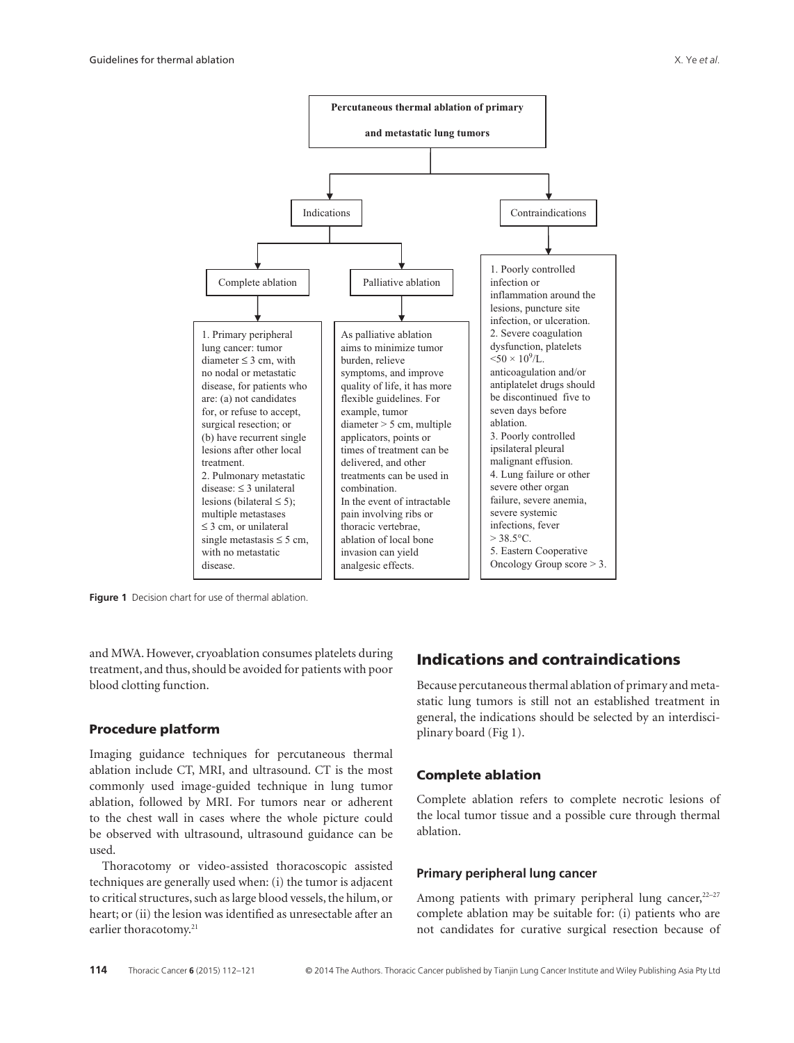

**Figure 1** Decision chart for use of thermal ablation.

and MWA. However, cryoablation consumes platelets during treatment, and thus, should be avoided for patients with poor blood clotting function.

### **Procedure platform**

Imaging guidance techniques for percutaneous thermal ablation include CT, MRI, and ultrasound. CT is the most commonly used image-guided technique in lung tumor ablation, followed by MRI. For tumors near or adherent to the chest wall in cases where the whole picture could be observed with ultrasound, ultrasound guidance can be used.

Thoracotomy or video-assisted thoracoscopic assisted techniques are generally used when: (i) the tumor is adjacent to critical structures, such as large blood vessels, the hilum, or heart; or (ii) the lesion was identified as unresectable after an earlier thoracotomy.<sup>21</sup>

# **Indications and contraindications**

Because percutaneous thermal ablation of primary and metastatic lung tumors is still not an established treatment in general, the indications should be selected by an interdisciplinary board (Fig 1).

### **Complete ablation**

Complete ablation refers to complete necrotic lesions of the local tumor tissue and a possible cure through thermal ablation.

## **Primary peripheral lung cancer**

Among patients with primary peripheral lung cancer, $22-27$ complete ablation may be suitable for: (i) patients who are not candidates for curative surgical resection because of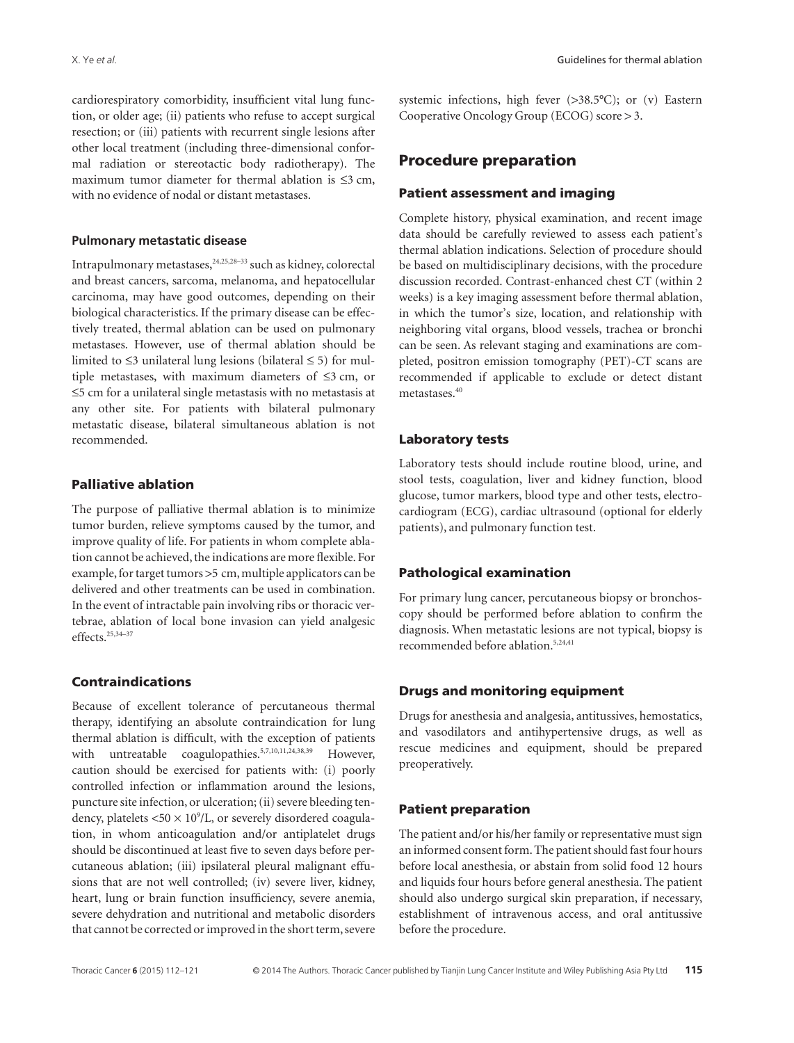cardiorespiratory comorbidity, insufficient vital lung function, or older age; (ii) patients who refuse to accept surgical resection; or (iii) patients with recurrent single lesions after other local treatment (including three-dimensional conformal radiation or stereotactic body radiotherapy). The maximum tumor diameter for thermal ablation is ≤3 cm, with no evidence of nodal or distant metastases.

### **Pulmonary metastatic disease**

Intrapulmonary metastases,  $24,25,28-33$  such as kidney, colorectal and breast cancers, sarcoma, melanoma, and hepatocellular carcinoma, may have good outcomes, depending on their biological characteristics. If the primary disease can be effectively treated, thermal ablation can be used on pulmonary metastases. However, use of thermal ablation should be limited to ≤3 unilateral lung lesions (bilateral ≤ 5) for multiple metastases, with maximum diameters of ≤3 cm, or ≤5 cm for a unilateral single metastasis with no metastasis at any other site. For patients with bilateral pulmonary metastatic disease, bilateral simultaneous ablation is not recommended.

# **Palliative ablation**

The purpose of palliative thermal ablation is to minimize tumor burden, relieve symptoms caused by the tumor, and improve quality of life. For patients in whom complete ablation cannot be achieved, the indications are more flexible. For example, for target tumors >5 cm, multiple applicators can be delivered and other treatments can be used in combination. In the event of intractable pain involving ribs or thoracic vertebrae, ablation of local bone invasion can yield analgesic effects.25,34–37

### **Contraindications**

Because of excellent tolerance of percutaneous thermal therapy, identifying an absolute contraindication for lung thermal ablation is difficult, with the exception of patients with untreatable coagulopathies.5,7,10,11,24,38,39 However, caution should be exercised for patients with: (i) poorly controlled infection or inflammation around the lesions, puncture site infection, or ulceration; (ii) severe bleeding tendency, platelets  $<$  50  $\times$  10<sup>9</sup>/L, or severely disordered coagulation, in whom anticoagulation and/or antiplatelet drugs should be discontinued at least five to seven days before percutaneous ablation; (iii) ipsilateral pleural malignant effusions that are not well controlled; (iv) severe liver, kidney, heart, lung or brain function insufficiency, severe anemia, severe dehydration and nutritional and metabolic disorders that cannot be corrected or improved in the short term, severe systemic infections, high fever (>38.5°C); or (v) Eastern Cooperative Oncology Group (ECOG) score > 3.

# **Procedure preparation**

#### **Patient assessment and imaging**

Complete history, physical examination, and recent image data should be carefully reviewed to assess each patient's thermal ablation indications. Selection of procedure should be based on multidisciplinary decisions, with the procedure discussion recorded. Contrast-enhanced chest CT (within 2 weeks) is a key imaging assessment before thermal ablation, in which the tumor's size, location, and relationship with neighboring vital organs, blood vessels, trachea or bronchi can be seen. As relevant staging and examinations are completed, positron emission tomography (PET)-CT scans are recommended if applicable to exclude or detect distant metastases.40

### **Laboratory tests**

Laboratory tests should include routine blood, urine, and stool tests, coagulation, liver and kidney function, blood glucose, tumor markers, blood type and other tests, electrocardiogram (ECG), cardiac ultrasound (optional for elderly patients), and pulmonary function test.

#### **Pathological examination**

For primary lung cancer, percutaneous biopsy or bronchoscopy should be performed before ablation to confirm the diagnosis. When metastatic lesions are not typical, biopsy is recommended before ablation.5,24,41

### **Drugs and monitoring equipment**

Drugs for anesthesia and analgesia, antitussives, hemostatics, and vasodilators and antihypertensive drugs, as well as rescue medicines and equipment, should be prepared preoperatively.

#### **Patient preparation**

The patient and/or his/her family or representative must sign an informed consent form. The patient should fast four hours before local anesthesia, or abstain from solid food 12 hours and liquids four hours before general anesthesia. The patient should also undergo surgical skin preparation, if necessary, establishment of intravenous access, and oral antitussive before the procedure.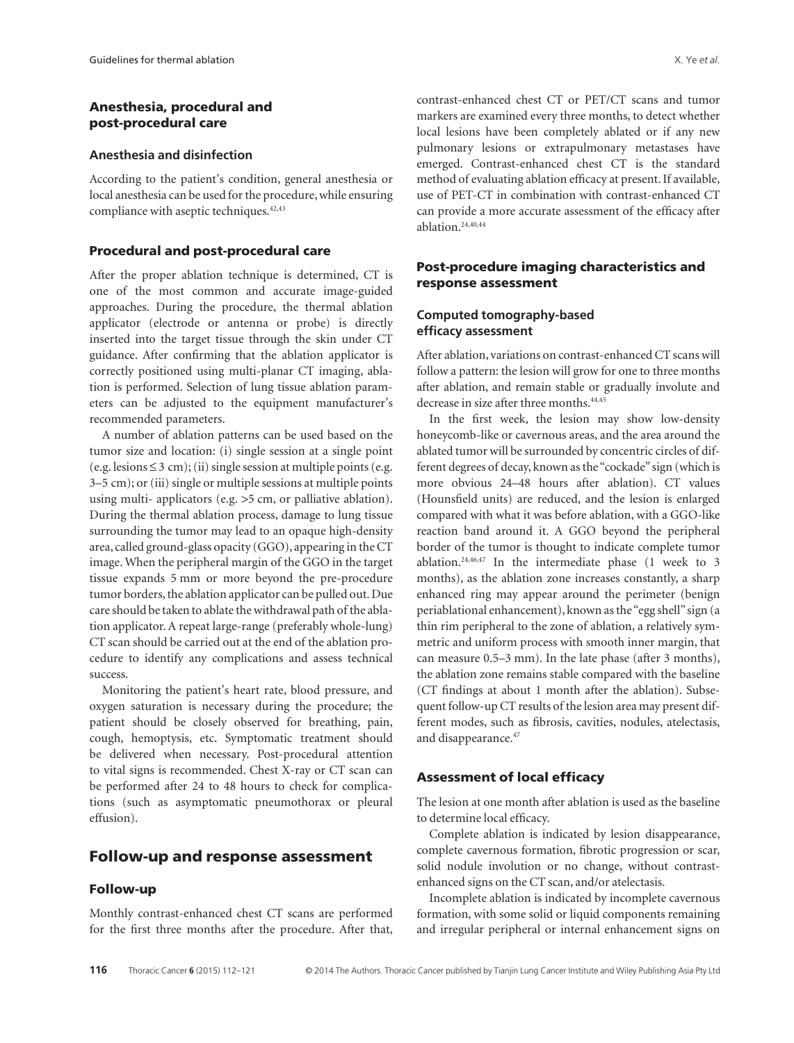# **Anesthesia, procedural and post-procedural care**

### **Anesthesia and disinfection**

According to the patient's condition, general anesthesia or local anesthesia can be used for the procedure, while ensuring compliance with aseptic techniques.<sup>42,43</sup>

#### **Procedural and post-procedural care**

After the proper ablation technique is determined, CT is one of the most common and accurate image-guided approaches. During the procedure, the thermal ablation applicator (electrode or antenna or probe) is directly inserted into the target tissue through the skin under CT guidance. After confirming that the ablation applicator is correctly positioned using multi-planar CT imaging, ablation is performed. Selection of lung tissue ablation parameters can be adjusted to the equipment manufacturer's recommended parameters.

A number of ablation patterns can be used based on the tumor size and location: (i) single session at a single point  $(e.g. lesions \leq 3 cm);$  (ii) single session at multiple points (e.g. 3–5 cm); or (iii) single or multiple sessions at multiple points using multi- applicators (e.g. >5 cm, or palliative ablation). During the thermal ablation process, damage to lung tissue surrounding the tumor may lead to an opaque high-density area, called ground-glass opacity (GGO), appearing in the CT image. When the peripheral margin of the GGO in the target tissue expands 5 mm or more beyond the pre-procedure tumor borders, the ablation applicator can be pulled out. Due care should be taken to ablate the withdrawal path of the ablation applicator. A repeat large-range (preferably whole-lung) CT scan should be carried out at the end of the ablation procedure to identify any complications and assess technical success.

Monitoring the patient's heart rate, blood pressure, and oxygen saturation is necessary during the procedure; the patient should be closely observed for breathing, pain, cough, hemoptysis, etc. Symptomatic treatment should be delivered when necessary. Post-procedural attention to vital signs is recommended. Chest X-ray or CT scan can be performed after 24 to 48 hours to check for complications (such as asymptomatic pneumothorax or pleural effusion).

# **Follow-up and response assessment**

#### **Follow-up**

Monthly contrast-enhanced chest CT scans are performed for the first three months after the procedure. After that, contrast-enhanced chest CT or PET/CT scans and tumor markers are examined every three months, to detect whether local lesions have been completely ablated or if any new pulmonary lesions or extrapulmonary metastases have emerged. Contrast-enhanced chest CT is the standard method of evaluating ablation efficacy at present. If available, use of PET-CT in combination with contrast-enhanced CT can provide a more accurate assessment of the efficacy after ablation.24,40,44

# **Post-procedure imaging characteristics and response assessment**

# **Computed tomography-based efficacy assessment**

After ablation, variations on contrast-enhanced CT scans will follow a pattern: the lesion will grow for one to three months after ablation, and remain stable or gradually involute and decrease in size after three months.<sup>44,45</sup>

In the first week, the lesion may show low-density honeycomb-like or cavernous areas, and the area around the ablated tumor will be surrounded by concentric circles of different degrees of decay, known as the "cockade" sign (which is more obvious 24–48 hours after ablation). CT values (Hounsfield units) are reduced, and the lesion is enlarged compared with what it was before ablation, with a GGO-like reaction band around it. A GGO beyond the peripheral border of the tumor is thought to indicate complete tumor ablation.24,46,47 In the intermediate phase (1 week to 3 months), as the ablation zone increases constantly, a sharp enhanced ring may appear around the perimeter (benign periablational enhancement), known as the"egg shell" sign (a thin rim peripheral to the zone of ablation, a relatively symmetric and uniform process with smooth inner margin, that can measure 0.5–3 mm). In the late phase (after 3 months), the ablation zone remains stable compared with the baseline (CT findings at about 1 month after the ablation). Subsequent follow-up CT results of the lesion area may present different modes, such as fibrosis, cavities, nodules, atelectasis, and disappearance.<sup>47</sup>

#### **Assessment of local efficacy**

The lesion at one month after ablation is used as the baseline to determine local efficacy.

Complete ablation is indicated by lesion disappearance, complete cavernous formation, fibrotic progression or scar, solid nodule involution or no change, without contrastenhanced signs on the CT scan, and/or atelectasis.

Incomplete ablation is indicated by incomplete cavernous formation, with some solid or liquid components remaining and irregular peripheral or internal enhancement signs on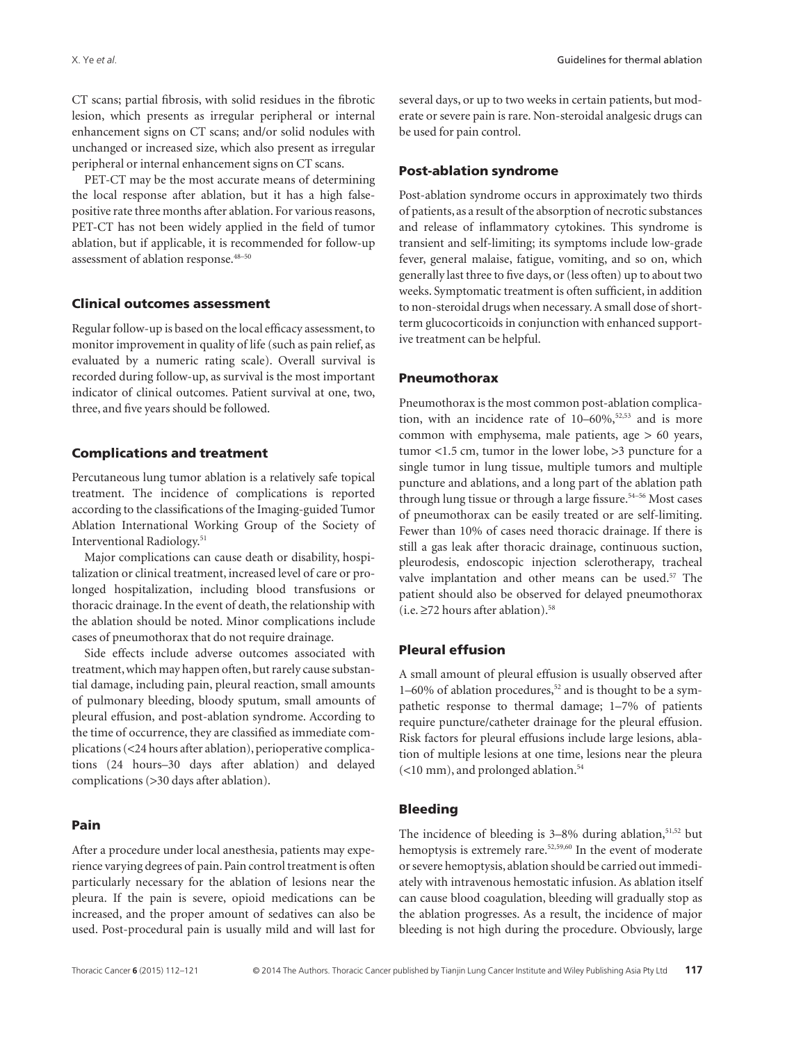CT scans; partial fibrosis, with solid residues in the fibrotic lesion, which presents as irregular peripheral or internal enhancement signs on CT scans; and/or solid nodules with unchanged or increased size, which also present as irregular peripheral or internal enhancement signs on CT scans.

PET-CT may be the most accurate means of determining the local response after ablation, but it has a high falsepositive rate three months after ablation. For various reasons, PET-CT has not been widely applied in the field of tumor ablation, but if applicable, it is recommended for follow-up assessment of ablation response.<sup>48-50</sup>

### **Clinical outcomes assessment**

Regular follow-up is based on the local efficacy assessment, to monitor improvement in quality of life (such as pain relief, as evaluated by a numeric rating scale). Overall survival is recorded during follow-up, as survival is the most important indicator of clinical outcomes. Patient survival at one, two, three, and five years should be followed.

### **Complications and treatment**

Percutaneous lung tumor ablation is a relatively safe topical treatment. The incidence of complications is reported according to the classifications of the Imaging-guided Tumor Ablation International Working Group of the Society of Interventional Radiology.51

Major complications can cause death or disability, hospitalization or clinical treatment, increased level of care or prolonged hospitalization, including blood transfusions or thoracic drainage. In the event of death, the relationship with the ablation should be noted. Minor complications include cases of pneumothorax that do not require drainage.

Side effects include adverse outcomes associated with treatment,which may happen often, but rarely cause substantial damage, including pain, pleural reaction, small amounts of pulmonary bleeding, bloody sputum, small amounts of pleural effusion, and post-ablation syndrome. According to the time of occurrence, they are classified as immediate complications (<24 hours after ablation), perioperative complications (24 hours–30 days after ablation) and delayed complications (>30 days after ablation).

#### **Pain**

After a procedure under local anesthesia, patients may experience varying degrees of pain. Pain control treatment is often particularly necessary for the ablation of lesions near the pleura. If the pain is severe, opioid medications can be increased, and the proper amount of sedatives can also be used. Post-procedural pain is usually mild and will last for several days, or up to two weeks in certain patients, but moderate or severe pain is rare. Non-steroidal analgesic drugs can be used for pain control.

#### **Post-ablation syndrome**

Post-ablation syndrome occurs in approximately two thirds of patients, as a result of the absorption of necrotic substances and release of inflammatory cytokines. This syndrome is transient and self-limiting; its symptoms include low-grade fever, general malaise, fatigue, vomiting, and so on, which generally last three to five days, or (less often) up to about two weeks. Symptomatic treatment is often sufficient, in addition to non-steroidal drugs when necessary.A small dose of shortterm glucocorticoids in conjunction with enhanced supportive treatment can be helpful.

## **Pneumothorax**

Pneumothorax is the most common post-ablation complication, with an incidence rate of  $10-60\%$ ,<sup>52,53</sup> and is more common with emphysema, male patients, age > 60 years, tumor <1.5 cm, tumor in the lower lobe, >3 puncture for a single tumor in lung tissue, multiple tumors and multiple puncture and ablations, and a long part of the ablation path through lung tissue or through a large fissure.<sup>54-56</sup> Most cases of pneumothorax can be easily treated or are self-limiting. Fewer than 10% of cases need thoracic drainage. If there is still a gas leak after thoracic drainage, continuous suction, pleurodesis, endoscopic injection sclerotherapy, tracheal valve implantation and other means can be used.<sup>57</sup> The patient should also be observed for delayed pneumothorax (i.e.  $\geq$ 72 hours after ablation).<sup>58</sup>

#### **Pleural effusion**

A small amount of pleural effusion is usually observed after  $1-60\%$  of ablation procedures,<sup>52</sup> and is thought to be a sympathetic response to thermal damage; 1–7% of patients require puncture/catheter drainage for the pleural effusion. Risk factors for pleural effusions include large lesions, ablation of multiple lesions at one time, lesions near the pleura  $(<$ 10 mm), and prolonged ablation.<sup>54</sup>

#### **Bleeding**

The incidence of bleeding is  $3-8%$  during ablation,<sup>51,52</sup> but hemoptysis is extremely rare.<sup>52,59,60</sup> In the event of moderate or severe hemoptysis, ablation should be carried out immediately with intravenous hemostatic infusion. As ablation itself can cause blood coagulation, bleeding will gradually stop as the ablation progresses. As a result, the incidence of major bleeding is not high during the procedure. Obviously, large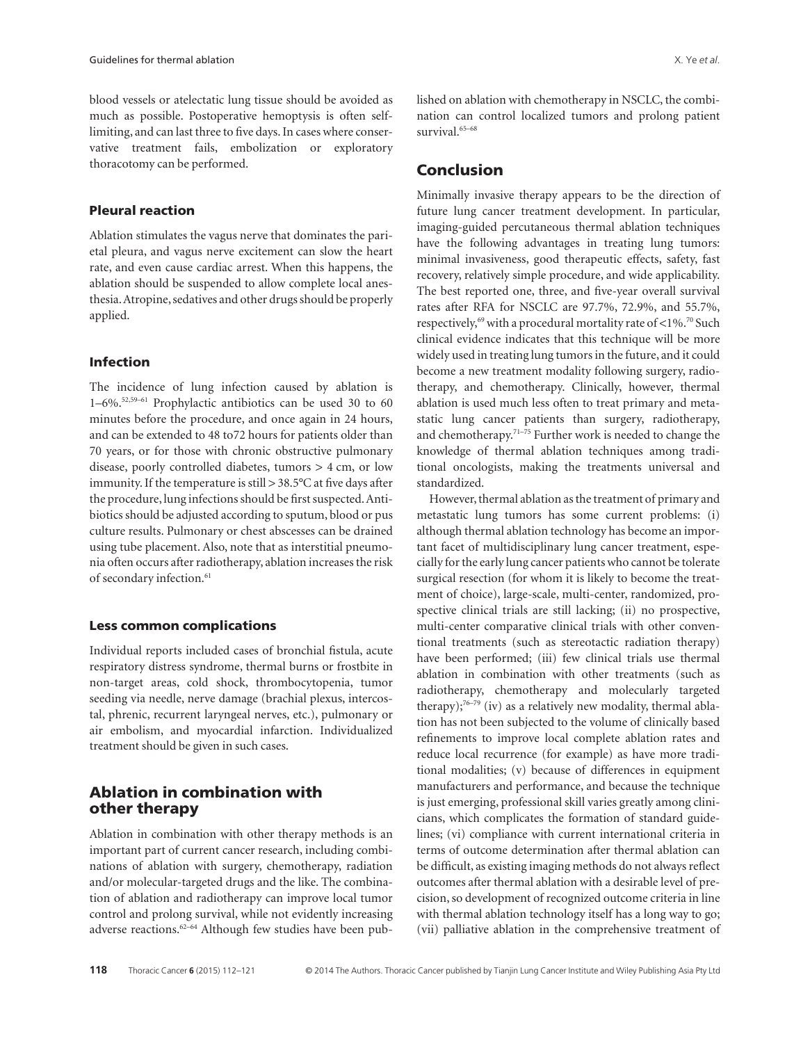blood vessels or atelectatic lung tissue should be avoided as much as possible. Postoperative hemoptysis is often selflimiting, and can last three to five days. In cases where conservative treatment fails, embolization or exploratory thoracotomy can be performed.

### **Pleural reaction**

Ablation stimulates the vagus nerve that dominates the parietal pleura, and vagus nerve excitement can slow the heart rate, and even cause cardiac arrest. When this happens, the ablation should be suspended to allow complete local anesthesia.Atropine, sedatives and other drugs should be properly applied.

# **Infection**

The incidence of lung infection caused by ablation is 1–6%.52,59–61 Prophylactic antibiotics can be used 30 to 60 minutes before the procedure, and once again in 24 hours, and can be extended to 48 to72 hours for patients older than 70 years, or for those with chronic obstructive pulmonary disease, poorly controlled diabetes, tumors > 4 cm, or low immunity. If the temperature is still > 38.5°C at five days after the procedure, lung infections should be first suspected.Antibiotics should be adjusted according to sputum, blood or pus culture results. Pulmonary or chest abscesses can be drained using tube placement. Also, note that as interstitial pneumonia often occurs after radiotherapy, ablation increases the risk of secondary infection.<sup>61</sup>

#### **Less common complications**

Individual reports included cases of bronchial fistula, acute respiratory distress syndrome, thermal burns or frostbite in non-target areas, cold shock, thrombocytopenia, tumor seeding via needle, nerve damage (brachial plexus, intercostal, phrenic, recurrent laryngeal nerves, etc.), pulmonary or air embolism, and myocardial infarction. Individualized treatment should be given in such cases.

# **Ablation in combination with other therapy**

Ablation in combination with other therapy methods is an important part of current cancer research, including combinations of ablation with surgery, chemotherapy, radiation and/or molecular-targeted drugs and the like. The combination of ablation and radiotherapy can improve local tumor control and prolong survival, while not evidently increasing adverse reactions.<sup>62–64</sup> Although few studies have been published on ablation with chemotherapy in NSCLC, the combination can control localized tumors and prolong patient survival.<sup>65-68</sup>

# **Conclusion**

Minimally invasive therapy appears to be the direction of future lung cancer treatment development. In particular, imaging-guided percutaneous thermal ablation techniques have the following advantages in treating lung tumors: minimal invasiveness, good therapeutic effects, safety, fast recovery, relatively simple procedure, and wide applicability. The best reported one, three, and five-year overall survival rates after RFA for NSCLC are 97.7%, 72.9%, and 55.7%, respectively,<sup>69</sup> with a procedural mortality rate of <1%.<sup>70</sup> Such clinical evidence indicates that this technique will be more widely used in treating lung tumors in the future, and it could become a new treatment modality following surgery, radiotherapy, and chemotherapy. Clinically, however, thermal ablation is used much less often to treat primary and metastatic lung cancer patients than surgery, radiotherapy, and chemotherapy.71–75 Further work is needed to change the knowledge of thermal ablation techniques among traditional oncologists, making the treatments universal and standardized.

However, thermal ablation as the treatment of primary and metastatic lung tumors has some current problems: (i) although thermal ablation technology has become an important facet of multidisciplinary lung cancer treatment, especially for the early lung cancer patients who cannot be tolerate surgical resection (for whom it is likely to become the treatment of choice), large-scale, multi-center, randomized, prospective clinical trials are still lacking; (ii) no prospective, multi-center comparative clinical trials with other conventional treatments (such as stereotactic radiation therapy) have been performed; (iii) few clinical trials use thermal ablation in combination with other treatments (such as radiotherapy, chemotherapy and molecularly targeted therapy); $76-79$  (iv) as a relatively new modality, thermal ablation has not been subjected to the volume of clinically based refinements to improve local complete ablation rates and reduce local recurrence (for example) as have more traditional modalities; (v) because of differences in equipment manufacturers and performance, and because the technique is just emerging, professional skill varies greatly among clinicians, which complicates the formation of standard guidelines; (vi) compliance with current international criteria in terms of outcome determination after thermal ablation can be difficult, as existing imaging methods do not always reflect outcomes after thermal ablation with a desirable level of precision, so development of recognized outcome criteria in line with thermal ablation technology itself has a long way to go; (vii) palliative ablation in the comprehensive treatment of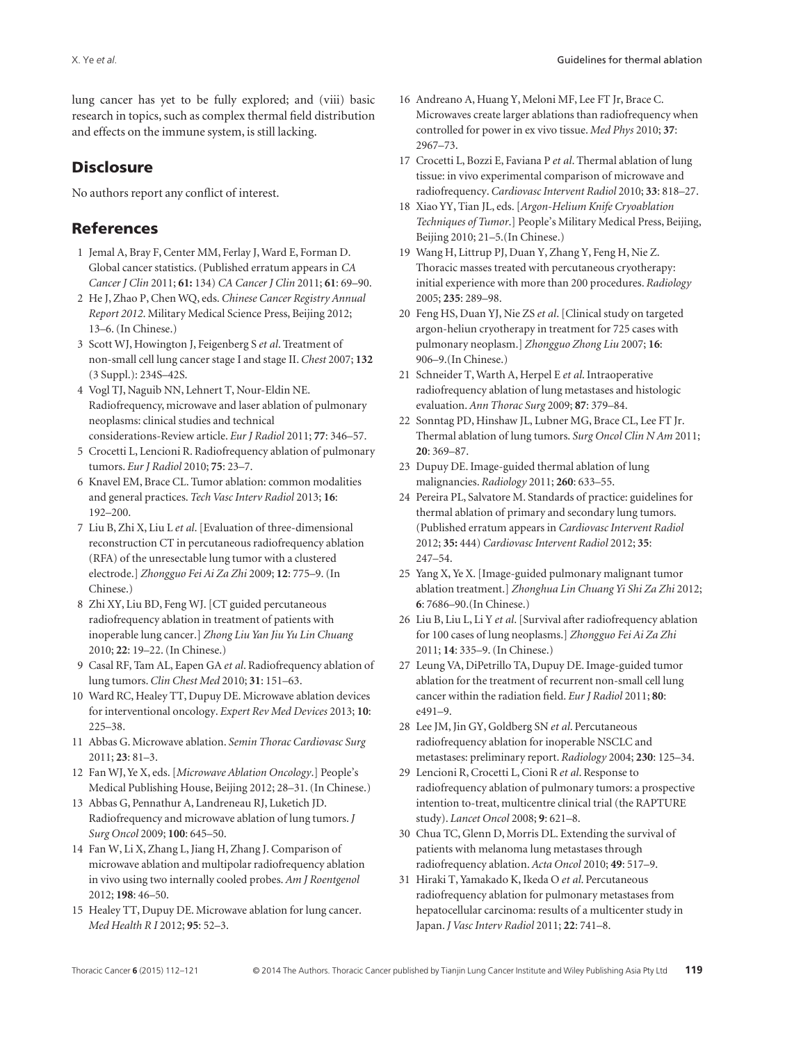lung cancer has yet to be fully explored; and (viii) basic research in topics, such as complex thermal field distribution and effects on the immune system, is still lacking.

# **Disclosure**

No authors report any conflict of interest.

# **References**

- 1 Jemal A, Bray F, Center MM, Ferlay J, Ward E, Forman D. Global cancer statistics. (Published erratum appears in *CA Cancer J Clin* 2011; **61:** 134) *CA Cancer J Clin* 2011; **61**: 69–90.
- 2 He J, Zhao P, Chen WQ, eds. *Chinese Cancer Registry Annual Report 2012*. Military Medical Science Press, Beijing 2012; 13–6. (In Chinese.)
- 3 Scott WJ, Howington J, Feigenberg S *et al*. Treatment of non-small cell lung cancer stage I and stage II. *Chest* 2007; **132** (3 Suppl.): 234S–42S.
- 4 Vogl TJ, Naguib NN, Lehnert T, Nour-Eldin NE. Radiofrequency, microwave and laser ablation of pulmonary neoplasms: clinical studies and technical considerations-Review article. *Eur J Radiol* 2011; **77**: 346–57.
- 5 Crocetti L, Lencioni R. Radiofrequency ablation of pulmonary tumors. *Eur J Radiol* 2010; **75**: 23–7.
- 6 Knavel EM, Brace CL. Tumor ablation: common modalities and general practices. *Tech Vasc Interv Radiol* 2013; **16**: 192–200.
- 7 Liu B, Zhi X, Liu L *et al*. [Evaluation of three-dimensional reconstruction CT in percutaneous radiofrequency ablation (RFA) of the unresectable lung tumor with a clustered electrode.] *Zhongguo Fei Ai Za Zhi* 2009; **12**: 775–9. (In Chinese.)
- 8 Zhi XY, Liu BD, Feng WJ. [CT guided percutaneous radiofrequency ablation in treatment of patients with inoperable lung cancer.] *Zhong Liu Yan Jiu Yu Lin Chuang* 2010; **22**: 19–22. (In Chinese.)
- 9 Casal RF, Tam AL, Eapen GA *et al*. Radiofrequency ablation of lung tumors. *Clin Chest Med* 2010; **31**: 151–63.
- 10 Ward RC, Healey TT, Dupuy DE. Microwave ablation devices for interventional oncology. *Expert Rev Med Devices* 2013; **10**: 225–38.
- 11 Abbas G. Microwave ablation. *Semin Thorac Cardiovasc Surg* 2011; **23**: 81–3.
- 12 Fan WJ, Ye X, eds. [*Microwave Ablation Oncology*.] People's Medical Publishing House, Beijing 2012; 28–31. (In Chinese.)
- 13 Abbas G, Pennathur A, Landreneau RJ, Luketich JD. Radiofrequency and microwave ablation of lung tumors. *J Surg Oncol* 2009; **100**: 645–50.
- 14 Fan W, Li X, Zhang L, Jiang H, Zhang J. Comparison of microwave ablation and multipolar radiofrequency ablation in vivo using two internally cooled probes. *Am J Roentgenol* 2012; **198**: 46–50.
- 15 Healey TT, Dupuy DE. Microwave ablation for lung cancer. *Med Health R I* 2012; **95**: 52–3.
- 16 Andreano A, Huang Y, Meloni MF, Lee FT Jr, Brace C. Microwaves create larger ablations than radiofrequency when controlled for power in ex vivo tissue. *Med Phys* 2010; **37**: 2967–73.
- 17 Crocetti L, Bozzi E, Faviana P *et al*. Thermal ablation of lung tissue: in vivo experimental comparison of microwave and radiofrequency. *Cardiovasc Intervent Radiol* 2010; **33**: 818–27.
- 18 Xiao YY, Tian JL, eds. [*Argon-Helium Knife Cryoablation Techniques of Tumor*.] People's Military Medical Press, Beijing, Beijing 2010; 21–5.(In Chinese.)
- 19 Wang H, Littrup PJ, Duan Y, Zhang Y, Feng H, Nie Z. Thoracic masses treated with percutaneous cryotherapy: initial experience with more than 200 procedures. *Radiology* 2005; **235**: 289–98.
- 20 Feng HS, Duan YJ, Nie ZS *et al*. [Clinical study on targeted argon-heliun cryotherapy in treatment for 725 cases with pulmonary neoplasm.] *Zhongguo Zhong Liu* 2007; **16**: 906–9.(In Chinese.)
- 21 Schneider T, Warth A, Herpel E *et al*. Intraoperative radiofrequency ablation of lung metastases and histologic evaluation. *Ann Thorac Surg* 2009; **87**: 379–84.
- 22 Sonntag PD, Hinshaw JL, Lubner MG, Brace CL, Lee FT Jr. Thermal ablation of lung tumors. *Surg Oncol Clin N Am* 2011; **20**: 369–87.
- 23 Dupuy DE. Image-guided thermal ablation of lung malignancies. *Radiology* 2011; **260**: 633–55.
- 24 Pereira PL, Salvatore M. Standards of practice: guidelines for thermal ablation of primary and secondary lung tumors. (Published erratum appears in *Cardiovasc Intervent Radiol* 2012; **35:** 444) *Cardiovasc Intervent Radiol* 2012; **35**: 247–54.
- 25 Yang X, Ye X. [Image-guided pulmonary malignant tumor ablation treatment.] *Zhonghua Lin Chuang Yi Shi Za Zhi* 2012; **6**: 7686–90.(In Chinese.)
- 26 Liu B, Liu L, Li Y *et al*. [Survival after radiofrequency ablation for 100 cases of lung neoplasms.] *Zhongguo Fei Ai Za Zhi* 2011; **14**: 335–9. (In Chinese.)
- 27 Leung VA, DiPetrillo TA, Dupuy DE. Image-guided tumor ablation for the treatment of recurrent non-small cell lung cancer within the radiation field. *Eur J Radiol* 2011; **80**: e491–9.
- 28 Lee JM, Jin GY, Goldberg SN *et al*. Percutaneous radiofrequency ablation for inoperable NSCLC and metastases: preliminary report. *Radiology* 2004; **230**: 125–34.
- 29 Lencioni R, Crocetti L, Cioni R *et al*. Response to radiofrequency ablation of pulmonary tumors: a prospective intention to-treat, multicentre clinical trial (the RAPTURE study). *Lancet Oncol* 2008; **9**: 621–8.
- 30 Chua TC, Glenn D, Morris DL. Extending the survival of patients with melanoma lung metastases through radiofrequency ablation. *Acta Oncol* 2010; **49**: 517–9.
- 31 Hiraki T, Yamakado K, Ikeda O *et al*. Percutaneous radiofrequency ablation for pulmonary metastases from hepatocellular carcinoma: results of a multicenter study in Japan. *J Vasc Interv Radiol* 2011; **22**: 741–8.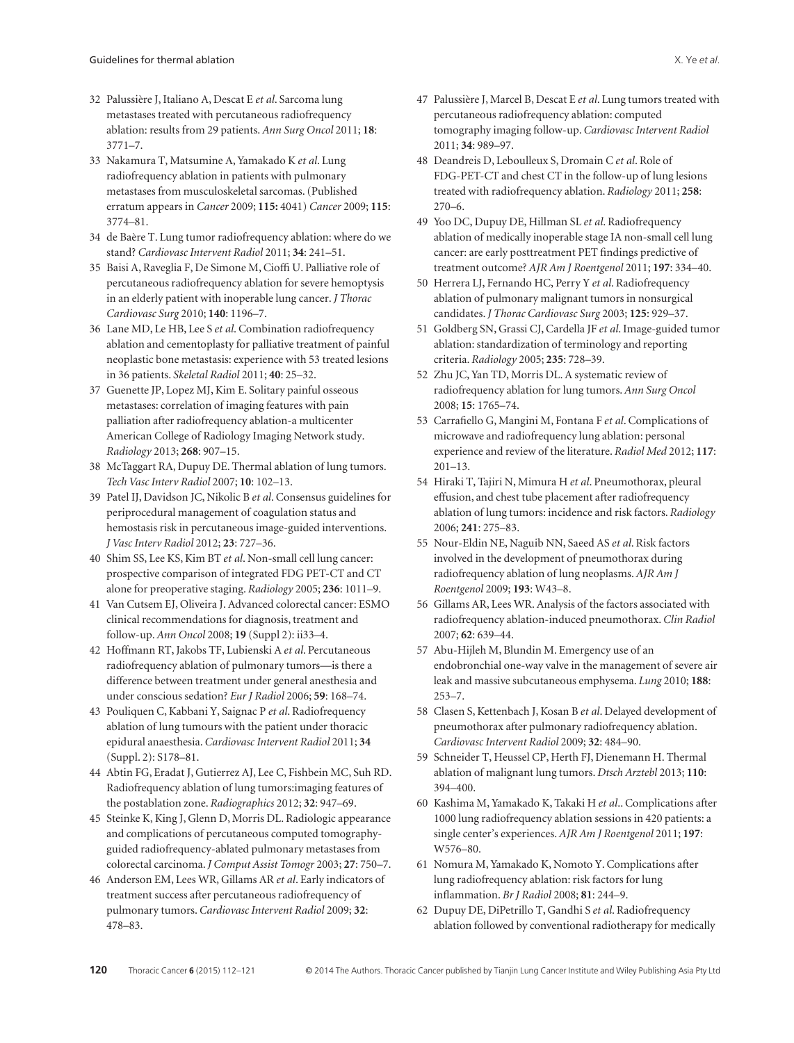- 32 Palussière J, Italiano A, Descat E *et al*. Sarcoma lung metastases treated with percutaneous radiofrequency ablation: results from 29 patients. *Ann Surg Oncol* 2011; **18**: 3771–7.
- 33 Nakamura T, Matsumine A, Yamakado K *et al*. Lung radiofrequency ablation in patients with pulmonary metastases from musculoskeletal sarcomas. (Published erratum appears in *Cancer* 2009; **115:** 4041) *Cancer* 2009; **115**: 3774–81.
- 34 de Baère T. Lung tumor radiofrequency ablation: where do we stand? *Cardiovasc Intervent Radiol* 2011; **34**: 241–51.
- 35 Baisi A, Raveglia F, De Simone M, Cioffi U. Palliative role of percutaneous radiofrequency ablation for severe hemoptysis in an elderly patient with inoperable lung cancer. *J Thorac Cardiovasc Surg* 2010; **140**: 1196–7.
- 36 Lane MD, Le HB, Lee S *et al*. Combination radiofrequency ablation and cementoplasty for palliative treatment of painful neoplastic bone metastasis: experience with 53 treated lesions in 36 patients. *Skeletal Radiol* 2011; **40**: 25–32.
- 37 Guenette JP, Lopez MJ, Kim E. Solitary painful osseous metastases: correlation of imaging features with pain palliation after radiofrequency ablation-a multicenter American College of Radiology Imaging Network study. *Radiology* 2013; **268**: 907–15.
- 38 McTaggart RA, Dupuy DE. Thermal ablation of lung tumors. *Tech Vasc Interv Radiol* 2007; **10**: 102–13.
- 39 Patel IJ, Davidson JC, Nikolic B *et al*. Consensus guidelines for periprocedural management of coagulation status and hemostasis risk in percutaneous image-guided interventions. *J Vasc Interv Radiol* 2012; **23**: 727–36.
- 40 Shim SS, Lee KS, Kim BT *et al*. Non-small cell lung cancer: prospective comparison of integrated FDG PET-CT and CT alone for preoperative staging. *Radiology* 2005; **236**: 1011–9.
- 41 Van Cutsem EJ, Oliveira J. Advanced colorectal cancer: ESMO clinical recommendations for diagnosis, treatment and follow-up. *Ann Oncol* 2008; **19** (Suppl 2): ii33–4.
- 42 Hoffmann RT, Jakobs TF, Lubienski A *et al*. Percutaneous radiofrequency ablation of pulmonary tumors—is there a difference between treatment under general anesthesia and under conscious sedation? *Eur J Radiol* 2006; **59**: 168–74.
- 43 Pouliquen C, Kabbani Y, Saignac P *et al*. Radiofrequency ablation of lung tumours with the patient under thoracic epidural anaesthesia. *Cardiovasc Intervent Radiol* 2011; **34** (Suppl. 2): S178–81.
- 44 Abtin FG, Eradat J, Gutierrez AJ, Lee C, Fishbein MC, Suh RD. Radiofrequency ablation of lung tumors:imaging features of the postablation zone. *Radiographics* 2012; **32**: 947–69.
- 45 Steinke K, King J, Glenn D, Morris DL. Radiologic appearance and complications of percutaneous computed tomographyguided radiofrequency-ablated pulmonary metastases from colorectal carcinoma. *J Comput Assist Tomogr* 2003; **27**: 750–7.
- 46 Anderson EM, Lees WR, Gillams AR *et al*. Early indicators of treatment success after percutaneous radiofrequency of pulmonary tumors. *Cardiovasc Intervent Radiol* 2009; **32**: 478–83.
- 47 Palussière J, Marcel B, Descat E *et al*. Lung tumors treated with percutaneous radiofrequency ablation: computed tomography imaging follow-up. *Cardiovasc Intervent Radiol* 2011; **34**: 989–97.
- 48 Deandreis D, Leboulleux S, Dromain C *et al*. Role of FDG-PET-CT and chest CT in the follow-up of lung lesions treated with radiofrequency ablation. *Radiology* 2011; **258**: 270–6.
- 49 Yoo DC, Dupuy DE, Hillman SL *et al*. Radiofrequency ablation of medically inoperable stage IA non-small cell lung cancer: are early posttreatment PET findings predictive of treatment outcome? *AJR Am J Roentgenol* 2011; **197**: 334–40.
- 50 Herrera LJ, Fernando HC, Perry Y *et al*. Radiofrequency ablation of pulmonary malignant tumors in nonsurgical candidates. *J Thorac Cardiovasc Surg* 2003; **125**: 929–37.
- 51 Goldberg SN, Grassi CJ, Cardella JF *et al*. Image-guided tumor ablation: standardization of terminology and reporting criteria. *Radiology* 2005; **235**: 728–39.
- 52 Zhu JC, Yan TD, Morris DL. A systematic review of radiofrequency ablation for lung tumors. *Ann Surg Oncol* 2008; **15**: 1765–74.
- 53 Carrafiello G, Mangini M, Fontana F *et al*. Complications of microwave and radiofrequency lung ablation: personal experience and review of the literature. *Radiol Med* 2012; **117**: 201–13.
- 54 Hiraki T, Tajiri N, Mimura H *et al*. Pneumothorax, pleural effusion, and chest tube placement after radiofrequency ablation of lung tumors: incidence and risk factors. *Radiology* 2006; **241**: 275–83.
- 55 Nour-Eldin NE, Naguib NN, Saeed AS *et al*. Risk factors involved in the development of pneumothorax during radiofrequency ablation of lung neoplasms. *AJR Am J Roentgenol* 2009; **193**: W43–8.
- 56 Gillams AR, Lees WR. Analysis of the factors associated with radiofrequency ablation-induced pneumothorax. *Clin Radiol* 2007; **62**: 639–44.
- 57 Abu-Hijleh M, Blundin M. Emergency use of an endobronchial one-way valve in the management of severe air leak and massive subcutaneous emphysema. *Lung* 2010; **188**: 253–7.
- 58 Clasen S, Kettenbach J, Kosan B *et al*. Delayed development of pneumothorax after pulmonary radiofrequency ablation. *Cardiovasc Intervent Radiol* 2009; **32**: 484–90.
- 59 Schneider T, Heussel CP, Herth FJ, Dienemann H. Thermal ablation of malignant lung tumors. *Dtsch Arztebl* 2013; **110**: 394–400.
- 60 Kashima M, Yamakado K, Takaki H *et al*.. Complications after 1000 lung radiofrequency ablation sessions in 420 patients: a single center's experiences. *AJR Am J Roentgenol* 2011; **197**: W576–80.
- 61 Nomura M, Yamakado K, Nomoto Y. Complications after lung radiofrequency ablation: risk factors for lung inflammation. *Br J Radiol* 2008; **81**: 244–9.
- 62 Dupuy DE, DiPetrillo T, Gandhi S *et al*. Radiofrequency ablation followed by conventional radiotherapy for medically